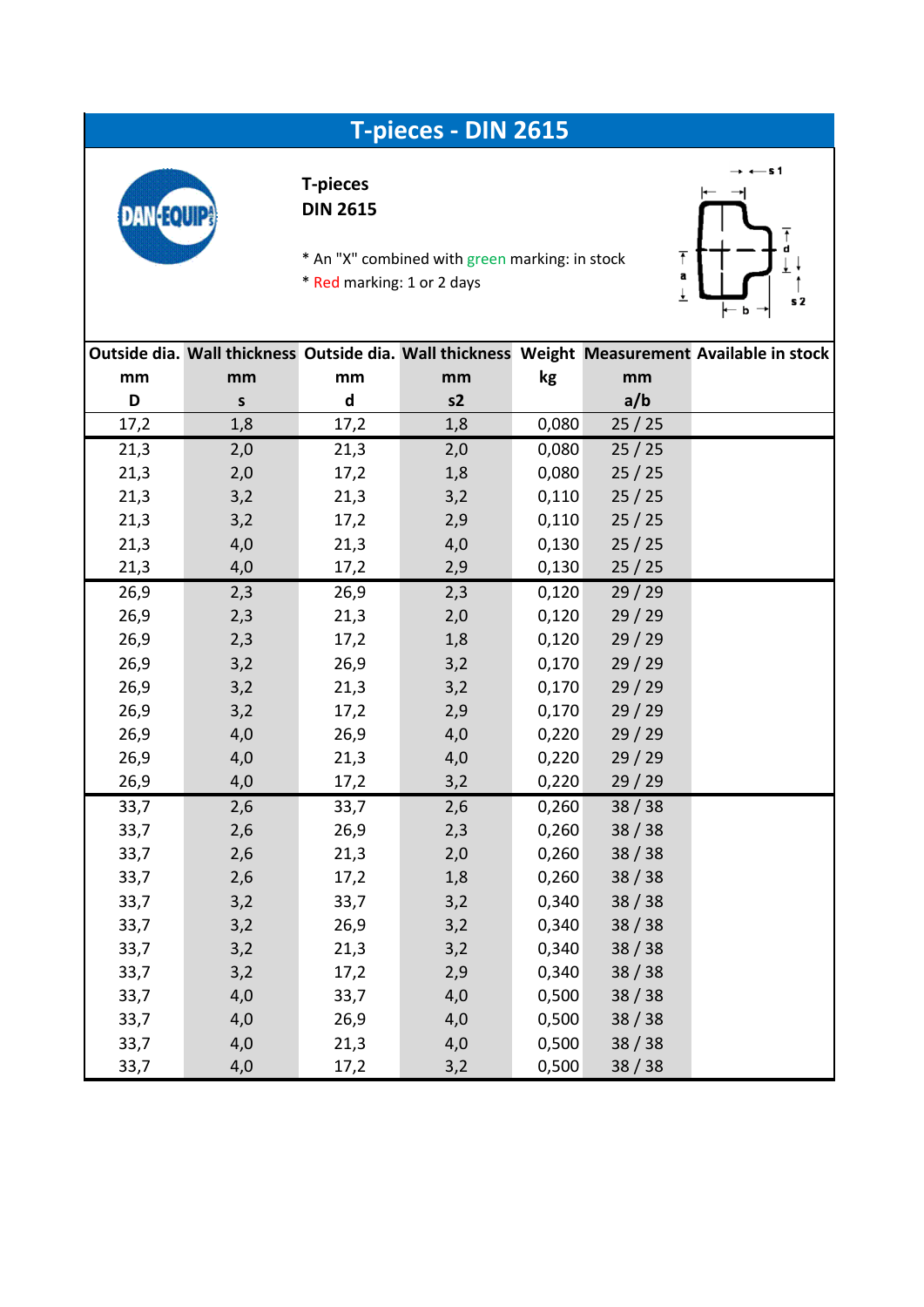## **T-pieces - DIN 2615**



## **T-pieces DIN 2615**

\* An "X" combined with green marking: in stock \* Red marking: 1 or 2 days



|      |         |                             |     |       |       | Outside dia. Wall thickness Outside dia. Wall thickness Weight Measurement Available in stock |
|------|---------|-----------------------------|-----|-------|-------|-----------------------------------------------------------------------------------------------|
| mm   | mm      | mm                          | mm  | kg    | mm    |                                                                                               |
| D    | $\sf s$ | $\operatorname{\mathsf{d}}$ | s2  |       | a/b   |                                                                                               |
| 17,2 | 1,8     | 17,2                        | 1,8 | 0,080 | 25/25 |                                                                                               |
| 21,3 | 2,0     | 21,3                        | 2,0 | 0,080 | 25/25 |                                                                                               |
| 21,3 | 2,0     | 17,2                        | 1,8 | 0,080 | 25/25 |                                                                                               |
| 21,3 | 3,2     | 21,3                        | 3,2 | 0,110 | 25/25 |                                                                                               |
| 21,3 | 3,2     | 17,2                        | 2,9 | 0,110 | 25/25 |                                                                                               |
| 21,3 | 4,0     | 21,3                        | 4,0 | 0,130 | 25/25 |                                                                                               |
| 21,3 | 4,0     | 17,2                        | 2,9 | 0,130 | 25/25 |                                                                                               |
| 26,9 | 2,3     | 26,9                        | 2,3 | 0,120 | 29/29 |                                                                                               |
| 26,9 | 2,3     | 21,3                        | 2,0 | 0,120 | 29/29 |                                                                                               |
| 26,9 | 2,3     | 17,2                        | 1,8 | 0,120 | 29/29 |                                                                                               |
| 26,9 | 3,2     | 26,9                        | 3,2 | 0,170 | 29/29 |                                                                                               |
| 26,9 | 3,2     | 21,3                        | 3,2 | 0,170 | 29/29 |                                                                                               |
| 26,9 | 3,2     | 17,2                        | 2,9 | 0,170 | 29/29 |                                                                                               |
| 26,9 | 4,0     | 26,9                        | 4,0 | 0,220 | 29/29 |                                                                                               |
| 26,9 | 4,0     | 21,3                        | 4,0 | 0,220 | 29/29 |                                                                                               |
| 26,9 | 4,0     | 17,2                        | 3,2 | 0,220 | 29/29 |                                                                                               |
| 33,7 | 2,6     | 33,7                        | 2,6 | 0,260 | 38/38 |                                                                                               |
| 33,7 | 2,6     | 26,9                        | 2,3 | 0,260 | 38/38 |                                                                                               |
| 33,7 | 2,6     | 21,3                        | 2,0 | 0,260 | 38/38 |                                                                                               |
| 33,7 | 2,6     | 17,2                        | 1,8 | 0,260 | 38/38 |                                                                                               |
| 33,7 | 3,2     | 33,7                        | 3,2 | 0,340 | 38/38 |                                                                                               |
| 33,7 | 3,2     | 26,9                        | 3,2 | 0,340 | 38/38 |                                                                                               |
| 33,7 | 3,2     | 21,3                        | 3,2 | 0,340 | 38/38 |                                                                                               |
| 33,7 | 3,2     | 17,2                        | 2,9 | 0,340 | 38/38 |                                                                                               |
| 33,7 | 4,0     | 33,7                        | 4,0 | 0,500 | 38/38 |                                                                                               |
| 33,7 | 4,0     | 26,9                        | 4,0 | 0,500 | 38/38 |                                                                                               |
| 33,7 | 4,0     | 21,3                        | 4,0 | 0,500 | 38/38 |                                                                                               |
| 33,7 | 4,0     | 17,2                        | 3,2 | 0,500 | 38/38 |                                                                                               |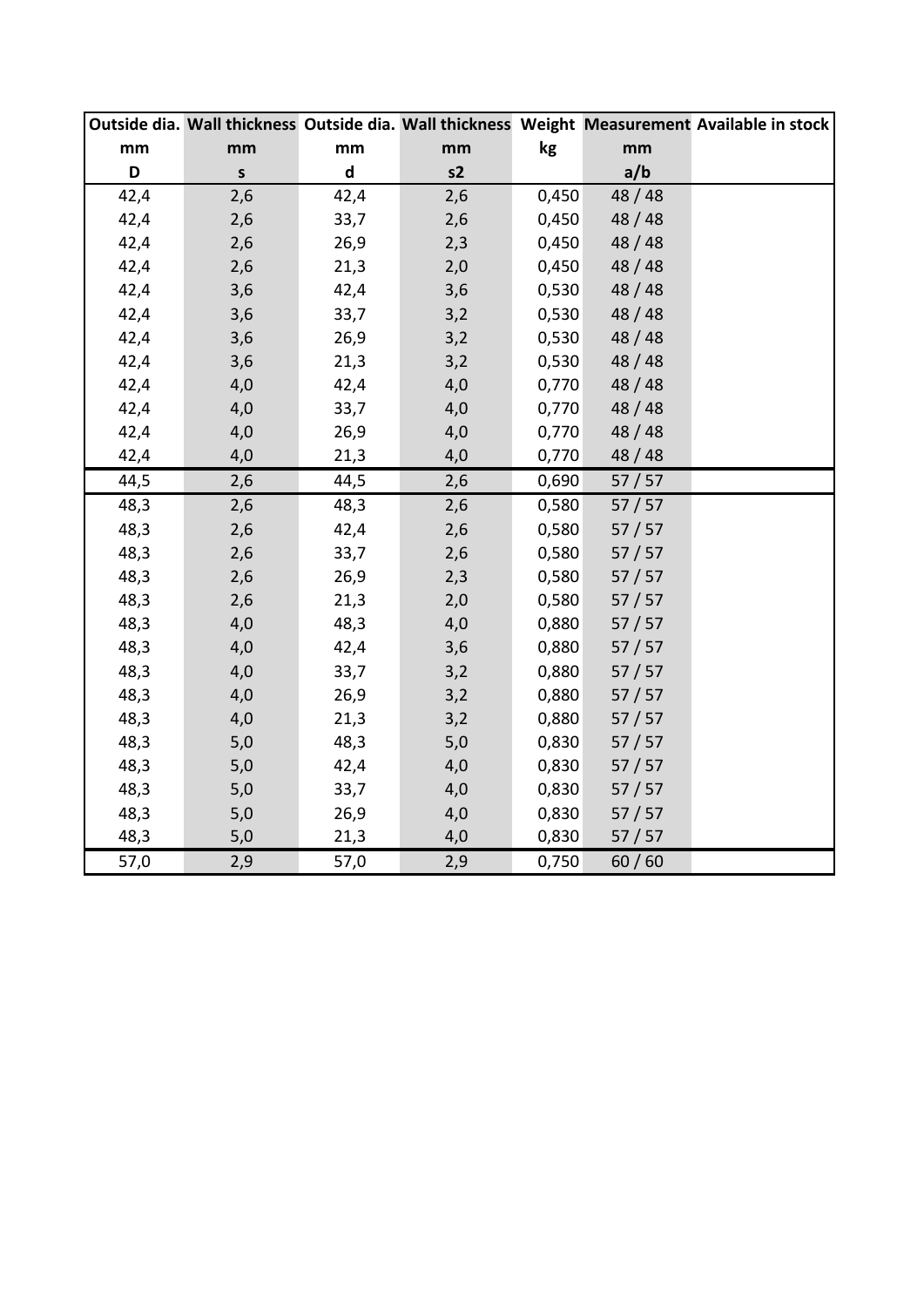|      |             |                             |     |       |         | Outside dia. Wall thickness Outside dia. Wall thickness Weight Measurement Available in stock |
|------|-------------|-----------------------------|-----|-------|---------|-----------------------------------------------------------------------------------------------|
| mm   | mm          | mm                          | mm  | kg    | mm      |                                                                                               |
| D    | $\mathsf S$ | $\operatorname{\mathsf{d}}$ | s2  |       | a/b     |                                                                                               |
| 42,4 | 2,6         | 42,4                        | 2,6 | 0,450 | 48 / 48 |                                                                                               |
| 42,4 | 2,6         | 33,7                        | 2,6 | 0,450 | 48/48   |                                                                                               |
| 42,4 | 2,6         | 26,9                        | 2,3 | 0,450 | 48/48   |                                                                                               |
| 42,4 | 2,6         | 21,3                        | 2,0 | 0,450 | 48/48   |                                                                                               |
| 42,4 | 3,6         | 42,4                        | 3,6 | 0,530 | 48/48   |                                                                                               |
| 42,4 | 3,6         | 33,7                        | 3,2 | 0,530 | 48/48   |                                                                                               |
| 42,4 | 3,6         | 26,9                        | 3,2 | 0,530 | 48/48   |                                                                                               |
| 42,4 | 3,6         | 21,3                        | 3,2 | 0,530 | 48/48   |                                                                                               |
| 42,4 | 4,0         | 42,4                        | 4,0 | 0,770 | 48/48   |                                                                                               |
| 42,4 | 4,0         | 33,7                        | 4,0 | 0,770 | 48/48   |                                                                                               |
| 42,4 | 4,0         | 26,9                        | 4,0 | 0,770 | 48/48   |                                                                                               |
| 42,4 | 4,0         | 21,3                        | 4,0 | 0,770 | 48/48   |                                                                                               |
| 44,5 | 2,6         | 44,5                        | 2,6 | 0,690 | 57/57   |                                                                                               |
| 48,3 | 2,6         | 48,3                        | 2,6 | 0,580 | 57/57   |                                                                                               |
| 48,3 | 2,6         | 42,4                        | 2,6 | 0,580 | 57/57   |                                                                                               |
| 48,3 | 2,6         | 33,7                        | 2,6 | 0,580 | 57/57   |                                                                                               |
| 48,3 | 2,6         | 26,9                        | 2,3 | 0,580 | 57/57   |                                                                                               |
| 48,3 | 2,6         | 21,3                        | 2,0 | 0,580 | 57/57   |                                                                                               |
| 48,3 | 4,0         | 48,3                        | 4,0 | 0,880 | 57/57   |                                                                                               |
| 48,3 | 4,0         | 42,4                        | 3,6 | 0,880 | 57/57   |                                                                                               |
| 48,3 | 4,0         | 33,7                        | 3,2 | 0,880 | 57/57   |                                                                                               |
| 48,3 | 4,0         | 26,9                        | 3,2 | 0,880 | 57/57   |                                                                                               |
| 48,3 | 4,0         | 21,3                        | 3,2 | 0,880 | 57/57   |                                                                                               |
| 48,3 | 5,0         | 48,3                        | 5,0 | 0,830 | 57/57   |                                                                                               |
| 48,3 | 5,0         | 42,4                        | 4,0 | 0,830 | 57/57   |                                                                                               |
| 48,3 | 5,0         | 33,7                        | 4,0 | 0,830 | 57/57   |                                                                                               |
| 48,3 | 5,0         | 26,9                        | 4,0 | 0,830 | 57/57   |                                                                                               |
| 48,3 | 5,0         | 21,3                        | 4,0 | 0,830 | 57/57   |                                                                                               |
| 57,0 | 2,9         | 57,0                        | 2,9 | 0,750 | 60/60   |                                                                                               |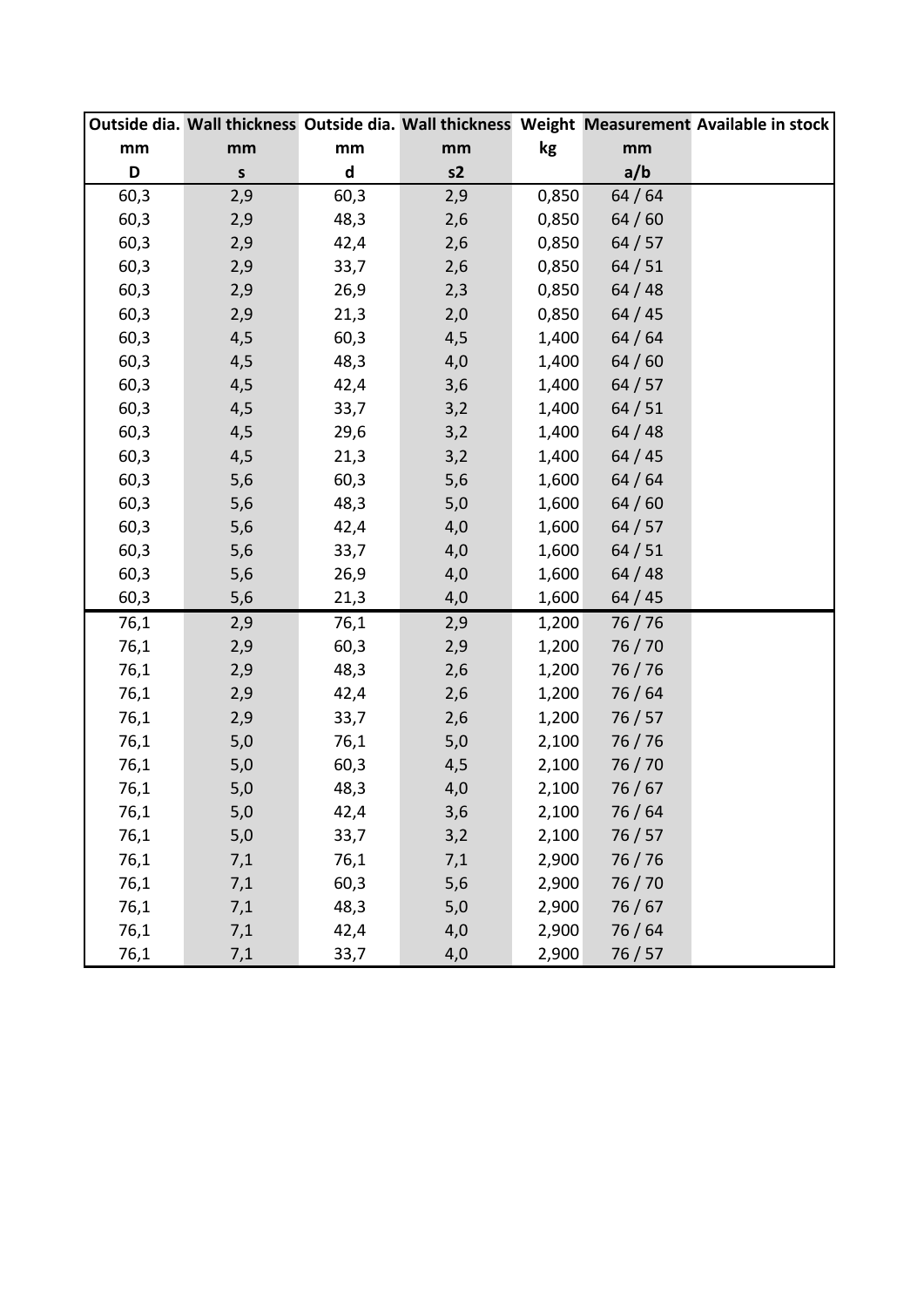|      |              |                             |       |       |         | Outside dia. Wall thickness Outside dia. Wall thickness Weight Measurement Available in stock |
|------|--------------|-----------------------------|-------|-------|---------|-----------------------------------------------------------------------------------------------|
| mm   | mm           | mm                          | mm    | kg    | mm      |                                                                                               |
| D    | $\mathsf{s}$ | $\operatorname{\mathsf{d}}$ | s2    |       | a/b     |                                                                                               |
| 60,3 | 2,9          | 60,3                        | 2,9   | 0,850 | 64/64   |                                                                                               |
| 60,3 | 2,9          | 48,3                        | 2,6   | 0,850 | 64/60   |                                                                                               |
| 60,3 | 2,9          | 42,4                        | 2,6   | 0,850 | 64/57   |                                                                                               |
| 60,3 | 2,9          | 33,7                        | 2,6   | 0,850 | 64/51   |                                                                                               |
| 60,3 | 2,9          | 26,9                        | 2,3   | 0,850 | 64/48   |                                                                                               |
| 60,3 | 2,9          | 21,3                        | 2,0   | 0,850 | 64/45   |                                                                                               |
| 60,3 | 4,5          | 60,3                        | 4,5   | 1,400 | 64/64   |                                                                                               |
| 60,3 | 4,5          | 48,3                        | 4,0   | 1,400 | 64/60   |                                                                                               |
| 60,3 | 4,5          | 42,4                        | 3,6   | 1,400 | 64/57   |                                                                                               |
| 60,3 | 4,5          | 33,7                        | 3,2   | 1,400 | 64/51   |                                                                                               |
| 60,3 | 4,5          | 29,6                        | 3,2   | 1,400 | 64/48   |                                                                                               |
| 60,3 | 4,5          | 21,3                        | 3,2   | 1,400 | 64/45   |                                                                                               |
| 60,3 | 5,6          | 60,3                        | 5,6   | 1,600 | 64/64   |                                                                                               |
| 60,3 | 5,6          | 48,3                        | 5,0   | 1,600 | 64/60   |                                                                                               |
| 60,3 | 5,6          | 42,4                        | 4,0   | 1,600 | 64/57   |                                                                                               |
| 60,3 | 5,6          | 33,7                        | 4,0   | 1,600 | 64/51   |                                                                                               |
| 60,3 | 5,6          | 26,9                        | 4,0   | 1,600 | 64/48   |                                                                                               |
| 60,3 | 5,6          | 21,3                        | 4,0   | 1,600 | 64/45   |                                                                                               |
| 76,1 | 2,9          | 76,1                        | 2,9   | 1,200 | 76/76   |                                                                                               |
| 76,1 | 2,9          | 60,3                        | 2,9   | 1,200 | 76/70   |                                                                                               |
| 76,1 | 2,9          | 48,3                        | 2,6   | 1,200 | 76 / 76 |                                                                                               |
| 76,1 | 2,9          | 42,4                        | 2,6   | 1,200 | 76/64   |                                                                                               |
| 76,1 | 2,9          | 33,7                        | 2,6   | 1,200 | 76/57   |                                                                                               |
| 76,1 | $5,0$        | 76,1                        | $5,0$ | 2,100 | 76/76   |                                                                                               |
| 76,1 | 5,0          | 60,3                        | 4,5   | 2,100 | 76 / 70 |                                                                                               |
| 76,1 | 5,0          | 48,3                        | 4,0   | 2,100 | 76/67   |                                                                                               |
| 76,1 | 5,0          | 42,4                        | 3,6   | 2,100 | 76 / 64 |                                                                                               |
| 76,1 | $5,0$        | 33,7                        | 3,2   | 2,100 | 76/57   |                                                                                               |
| 76,1 | 7,1          | 76,1                        | 7,1   | 2,900 | 76 / 76 |                                                                                               |
| 76,1 | 7,1          | 60,3                        | 5,6   | 2,900 | 76 / 70 |                                                                                               |
| 76,1 | 7,1          | 48,3                        | 5,0   | 2,900 | 76/67   |                                                                                               |
| 76,1 | 7,1          | 42,4                        | 4,0   | 2,900 | 76 / 64 |                                                                                               |
| 76,1 | 7,1          | 33,7                        | 4,0   | 2,900 | 76/57   |                                                                                               |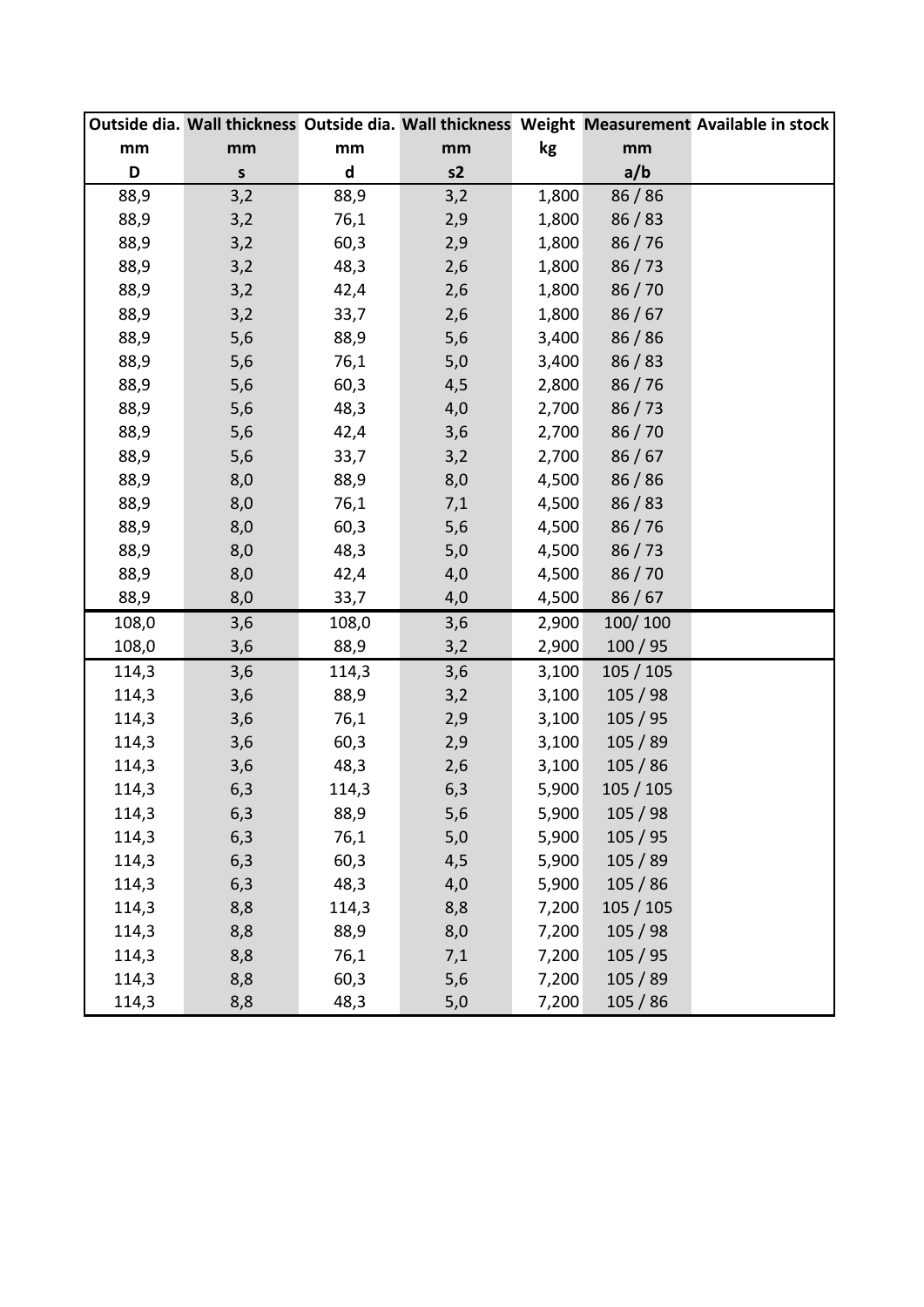|       |         |                             |     |       |           | Outside dia. Wall thickness Outside dia. Wall thickness Weight Measurement Available in stock |
|-------|---------|-----------------------------|-----|-------|-----------|-----------------------------------------------------------------------------------------------|
| mm    | mm      | mm                          | mm  | kg    | mm        |                                                                                               |
| D     | $\sf s$ | $\operatorname{\mathsf{d}}$ | s2  |       | a/b       |                                                                                               |
| 88,9  | 3,2     | 88,9                        | 3,2 | 1,800 | 86/86     |                                                                                               |
| 88,9  | 3,2     | 76,1                        | 2,9 | 1,800 | 86/83     |                                                                                               |
| 88,9  | 3,2     | 60,3                        | 2,9 | 1,800 | 86/76     |                                                                                               |
| 88,9  | 3,2     | 48,3                        | 2,6 | 1,800 | 86/73     |                                                                                               |
| 88,9  | 3,2     | 42,4                        | 2,6 | 1,800 | 86 / 70   |                                                                                               |
| 88,9  | 3,2     | 33,7                        | 2,6 | 1,800 | 86/67     |                                                                                               |
| 88,9  | 5,6     | 88,9                        | 5,6 | 3,400 | 86/86     |                                                                                               |
| 88,9  | 5,6     | 76,1                        | 5,0 | 3,400 | 86/83     |                                                                                               |
| 88,9  | 5,6     | 60,3                        | 4,5 | 2,800 | 86/76     |                                                                                               |
| 88,9  | 5,6     | 48,3                        | 4,0 | 2,700 | 86/73     |                                                                                               |
| 88,9  | 5,6     | 42,4                        | 3,6 | 2,700 | 86/70     |                                                                                               |
| 88,9  | 5,6     | 33,7                        | 3,2 | 2,700 | 86/67     |                                                                                               |
| 88,9  | 8,0     | 88,9                        | 8,0 | 4,500 | 86 / 86   |                                                                                               |
| 88,9  | 8,0     | 76,1                        | 7,1 | 4,500 | 86/83     |                                                                                               |
| 88,9  | 8,0     | 60,3                        | 5,6 | 4,500 | 86/76     |                                                                                               |
| 88,9  | 8,0     | 48,3                        | 5,0 | 4,500 | 86/73     |                                                                                               |
| 88,9  | 8,0     | 42,4                        | 4,0 | 4,500 | 86/70     |                                                                                               |
| 88,9  | 8,0     | 33,7                        | 4,0 | 4,500 | 86/67     |                                                                                               |
| 108,0 | 3,6     | 108,0                       | 3,6 | 2,900 | 100/100   |                                                                                               |
| 108,0 | 3,6     | 88,9                        | 3,2 | 2,900 | 100/95    |                                                                                               |
| 114,3 | 3,6     | 114,3                       | 3,6 | 3,100 | 105 / 105 |                                                                                               |
| 114,3 | 3,6     | 88,9                        | 3,2 | 3,100 | 105/98    |                                                                                               |
| 114,3 | 3,6     | 76,1                        | 2,9 | 3,100 | 105/95    |                                                                                               |
| 114,3 | 3,6     | 60,3                        | 2,9 | 3,100 | 105/89    |                                                                                               |
| 114,3 | 3,6     | 48,3                        | 2,6 | 3,100 | 105/86    |                                                                                               |
| 114,3 | 6,3     | 114,3                       | 6,3 | 5,900 | 105/105   |                                                                                               |
| 114,3 | 6,3     | 88,9                        | 5,6 | 5,900 | 105 / 98  |                                                                                               |
| 114,3 | 6,3     | 76,1                        | 5,0 | 5,900 | 105/95    |                                                                                               |
| 114,3 | 6,3     | 60,3                        | 4,5 | 5,900 | 105/89    |                                                                                               |
| 114,3 | 6,3     | 48,3                        | 4,0 | 5,900 | 105/86    |                                                                                               |
| 114,3 | 8,8     | 114,3                       | 8,8 | 7,200 | 105/105   |                                                                                               |
| 114,3 | 8,8     | 88,9                        | 8,0 | 7,200 | 105/98    |                                                                                               |
| 114,3 | 8,8     | 76,1                        | 7,1 | 7,200 | 105/95    |                                                                                               |
| 114,3 | 8,8     | 60,3                        | 5,6 | 7,200 | 105/89    |                                                                                               |
| 114,3 | 8,8     | 48,3                        | 5,0 | 7,200 | 105/86    |                                                                                               |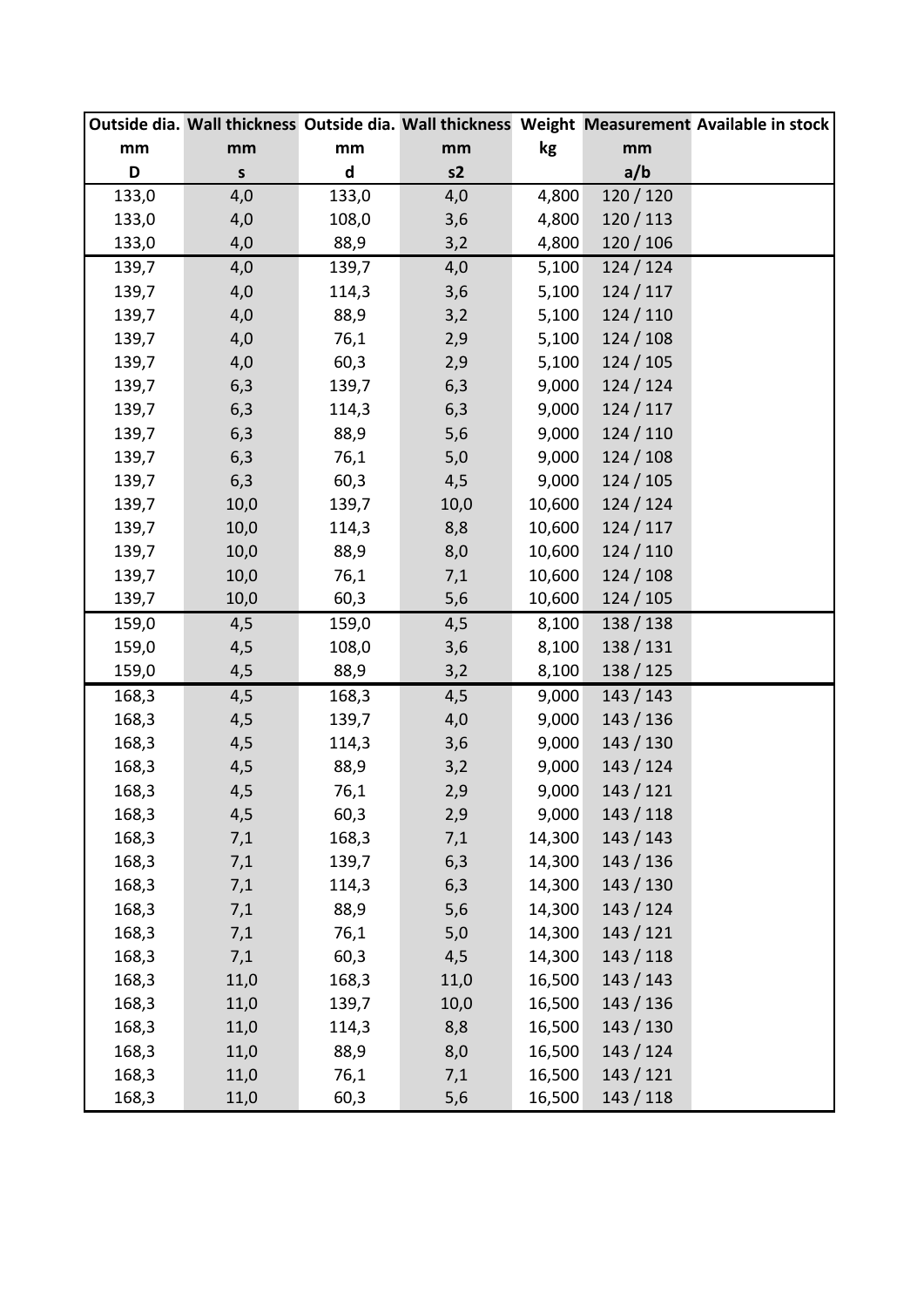|       |              |                             |       |        |           | Outside dia. Wall thickness Outside dia. Wall thickness Weight Measurement Available in stock |
|-------|--------------|-----------------------------|-------|--------|-----------|-----------------------------------------------------------------------------------------------|
| mm    | mm           | mm                          | mm    | kg     | mm        |                                                                                               |
| D     | $\mathsf{s}$ | $\operatorname{\mathsf{d}}$ | s2    |        | a/b       |                                                                                               |
| 133,0 | 4,0          | 133,0                       | 4,0   | 4,800  | 120 / 120 |                                                                                               |
| 133,0 | 4,0          | 108,0                       | 3,6   | 4,800  | 120/113   |                                                                                               |
| 133,0 | 4,0          | 88,9                        | 3,2   | 4,800  | 120/106   |                                                                                               |
| 139,7 | 4,0          | 139,7                       | 4,0   | 5,100  | 124/124   |                                                                                               |
| 139,7 | 4,0          | 114,3                       | 3,6   | 5,100  | 124/117   |                                                                                               |
| 139,7 | 4,0          | 88,9                        | 3,2   | 5,100  | 124/110   |                                                                                               |
| 139,7 | 4,0          | 76,1                        | 2,9   | 5,100  | 124/108   |                                                                                               |
| 139,7 | 4,0          | 60,3                        | 2,9   | 5,100  | 124/105   |                                                                                               |
| 139,7 | 6,3          | 139,7                       | 6,3   | 9,000  | 124/124   |                                                                                               |
| 139,7 | 6,3          | 114,3                       | 6,3   | 9,000  | 124/117   |                                                                                               |
| 139,7 | 6,3          | 88,9                        | 5,6   | 9,000  | 124/110   |                                                                                               |
| 139,7 | 6,3          | 76,1                        | 5,0   | 9,000  | 124/108   |                                                                                               |
| 139,7 | 6,3          | 60,3                        | 4,5   | 9,000  | 124/105   |                                                                                               |
| 139,7 | 10,0         | 139,7                       | 10,0  | 10,600 | 124/124   |                                                                                               |
| 139,7 | 10,0         | 114,3                       | 8,8   | 10,600 | 124/117   |                                                                                               |
| 139,7 | 10,0         | 88,9                        | 8,0   | 10,600 | 124/110   |                                                                                               |
| 139,7 | 10,0         | 76,1                        | 7,1   | 10,600 | 124/108   |                                                                                               |
| 139,7 | 10,0         | 60,3                        | 5,6   | 10,600 | 124/105   |                                                                                               |
| 159,0 | 4,5          | 159,0                       | 4,5   | 8,100  | 138 / 138 |                                                                                               |
| 159,0 | 4,5          | 108,0                       | 3,6   | 8,100  | 138/131   |                                                                                               |
| 159,0 | 4,5          | 88,9                        | 3,2   | 8,100  | 138 / 125 |                                                                                               |
| 168,3 | 4,5          | 168,3                       | 4,5   | 9,000  | 143/143   |                                                                                               |
| 168,3 | 4,5          | 139,7                       | 4,0   | 9,000  | 143 / 136 |                                                                                               |
| 168,3 | 4,5          | 114,3                       | 3,6   | 9,000  | 143 / 130 |                                                                                               |
| 168,3 | 4,5          | 88,9                        | 3,2   | 9,000  | 143/124   |                                                                                               |
| 168,3 | 4,5          | 76,1                        | 2,9   | 9,000  | 143/121   |                                                                                               |
| 168,3 | 4,5          | 60,3                        | 2,9   | 9,000  | 143 / 118 |                                                                                               |
| 168,3 | 7,1          | 168,3                       | 7,1   | 14,300 | 143 / 143 |                                                                                               |
| 168,3 | 7,1          | 139,7                       | 6,3   | 14,300 | 143/136   |                                                                                               |
| 168,3 | 7,1          | 114,3                       | 6,3   | 14,300 | 143 / 130 |                                                                                               |
| 168,3 | 7,1          | 88,9                        | 5,6   | 14,300 | 143 / 124 |                                                                                               |
| 168,3 | 7,1          | 76,1                        | $5,0$ | 14,300 | 143/121   |                                                                                               |
| 168,3 | 7,1          | 60,3                        | 4,5   | 14,300 | 143/118   |                                                                                               |
| 168,3 | 11,0         | 168,3                       | 11,0  | 16,500 | 143/143   |                                                                                               |
| 168,3 | 11,0         | 139,7                       | 10,0  | 16,500 | 143 / 136 |                                                                                               |
| 168,3 | 11,0         | 114,3                       | 8,8   | 16,500 | 143/130   |                                                                                               |
| 168,3 | 11,0         | 88,9                        | 8,0   | 16,500 | 143 / 124 |                                                                                               |
| 168,3 | 11,0         | 76,1                        | 7,1   | 16,500 | 143 / 121 |                                                                                               |
| 168,3 | 11,0         | 60,3                        | 5,6   | 16,500 | 143 / 118 |                                                                                               |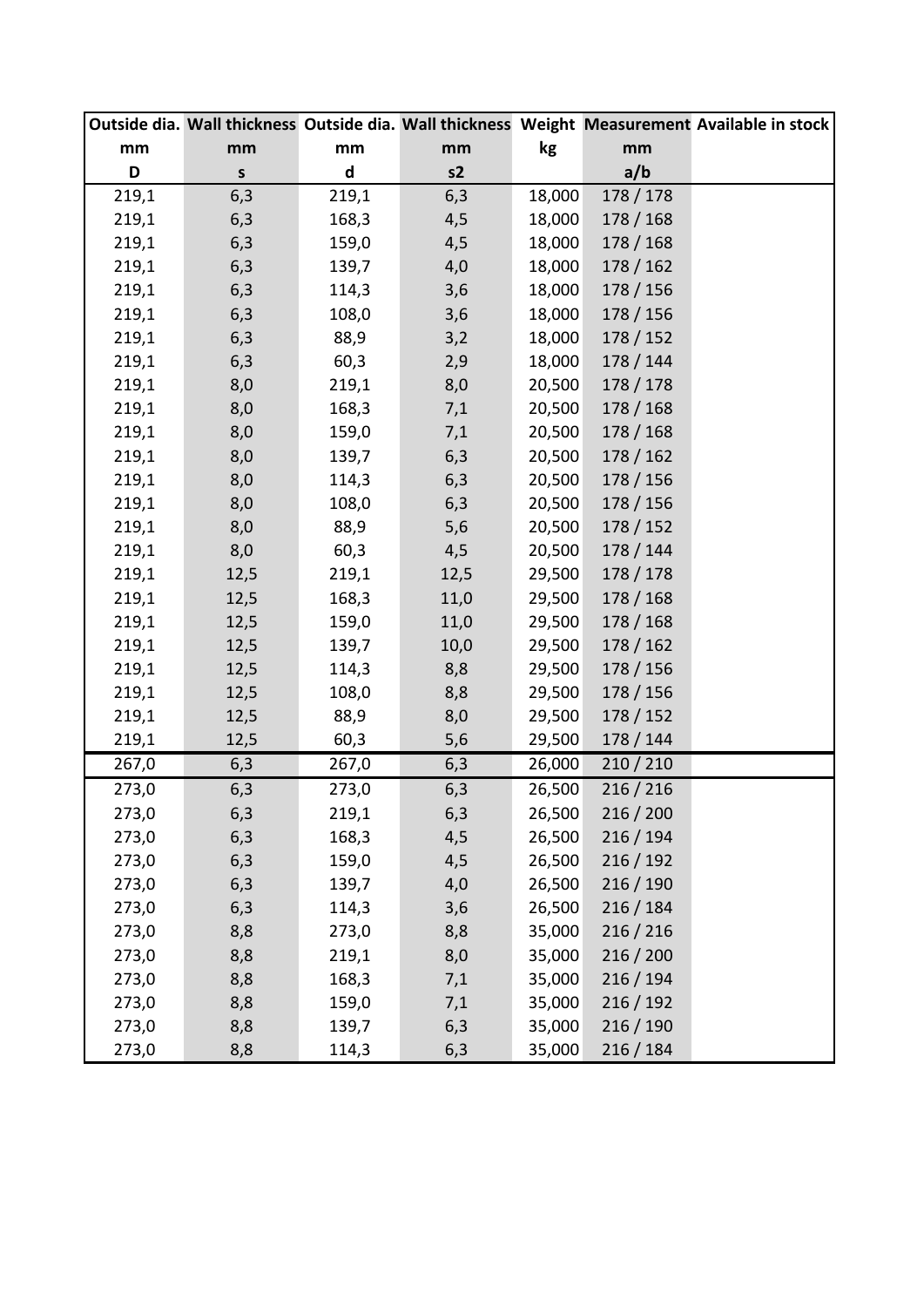|       |         |                             |      |        |           | Outside dia. Wall thickness Outside dia. Wall thickness Weight Measurement Available in stock |
|-------|---------|-----------------------------|------|--------|-----------|-----------------------------------------------------------------------------------------------|
| mm    | mm      | mm                          | mm   | kg     | mm        |                                                                                               |
| D     | $\sf S$ | $\operatorname{\mathsf{d}}$ | s2   |        | a/b       |                                                                                               |
| 219,1 | 6,3     | 219,1                       | 6,3  | 18,000 | 178 / 178 |                                                                                               |
| 219,1 | 6,3     | 168,3                       | 4,5  | 18,000 | 178 / 168 |                                                                                               |
| 219,1 | 6,3     | 159,0                       | 4,5  | 18,000 | 178 / 168 |                                                                                               |
| 219,1 | 6,3     | 139,7                       | 4,0  | 18,000 | 178/162   |                                                                                               |
| 219,1 | 6,3     | 114,3                       | 3,6  | 18,000 | 178 / 156 |                                                                                               |
| 219,1 | 6,3     | 108,0                       | 3,6  | 18,000 | 178 / 156 |                                                                                               |
| 219,1 | 6,3     | 88,9                        | 3,2  | 18,000 | 178 / 152 |                                                                                               |
| 219,1 | 6,3     | 60,3                        | 2,9  | 18,000 | 178 / 144 |                                                                                               |
| 219,1 | 8,0     | 219,1                       | 8,0  | 20,500 | 178 / 178 |                                                                                               |
| 219,1 | 8,0     | 168,3                       | 7,1  | 20,500 | 178 / 168 |                                                                                               |
| 219,1 | 8,0     | 159,0                       | 7,1  | 20,500 | 178 / 168 |                                                                                               |
| 219,1 | 8,0     | 139,7                       | 6,3  | 20,500 | 178 / 162 |                                                                                               |
| 219,1 | 8,0     | 114,3                       | 6,3  | 20,500 | 178 / 156 |                                                                                               |
| 219,1 | 8,0     | 108,0                       | 6,3  | 20,500 | 178 / 156 |                                                                                               |
| 219,1 | 8,0     | 88,9                        | 5,6  | 20,500 | 178 / 152 |                                                                                               |
| 219,1 | 8,0     | 60,3                        | 4,5  | 20,500 | 178 / 144 |                                                                                               |
| 219,1 | 12,5    | 219,1                       | 12,5 | 29,500 | 178 / 178 |                                                                                               |
| 219,1 | 12,5    | 168,3                       | 11,0 | 29,500 | 178 / 168 |                                                                                               |
| 219,1 | 12,5    | 159,0                       | 11,0 | 29,500 | 178 / 168 |                                                                                               |
| 219,1 | 12,5    | 139,7                       | 10,0 | 29,500 | 178/162   |                                                                                               |
| 219,1 | 12,5    | 114,3                       | 8,8  | 29,500 | 178 / 156 |                                                                                               |
| 219,1 | 12,5    | 108,0                       | 8,8  | 29,500 | 178 / 156 |                                                                                               |
| 219,1 | 12,5    | 88,9                        | 8,0  | 29,500 | 178 / 152 |                                                                                               |
| 219,1 | 12,5    | 60,3                        | 5,6  | 29,500 | 178 / 144 |                                                                                               |
| 267,0 | 6,3     | 267,0                       | 6,3  | 26,000 | 210 / 210 |                                                                                               |
| 273,0 | 6,3     | 273,0                       | 6,3  | 26,500 | 216 / 216 |                                                                                               |
| 273,0 | 6,3     | 219,1                       | 6,3  | 26,500 | 216 / 200 |                                                                                               |
| 273,0 | 6,3     | 168,3                       | 4,5  | 26,500 | 216/194   |                                                                                               |
| 273,0 | 6,3     | 159,0                       | 4,5  | 26,500 | 216/192   |                                                                                               |
| 273,0 | 6,3     | 139,7                       | 4,0  | 26,500 | 216 / 190 |                                                                                               |
| 273,0 | 6,3     | 114,3                       | 3,6  | 26,500 | 216/184   |                                                                                               |
| 273,0 | 8,8     | 273,0                       | 8,8  | 35,000 | 216 / 216 |                                                                                               |
| 273,0 | 8,8     | 219,1                       | 8,0  | 35,000 | 216 / 200 |                                                                                               |
| 273,0 | 8,8     | 168,3                       | 7,1  | 35,000 | 216/194   |                                                                                               |
| 273,0 | 8,8     | 159,0                       | 7,1  | 35,000 | 216/192   |                                                                                               |
| 273,0 | 8,8     | 139,7                       | 6,3  | 35,000 | 216/190   |                                                                                               |
| 273,0 | 8,8     | 114,3                       | 6,3  | 35,000 | 216 / 184 |                                                                                               |